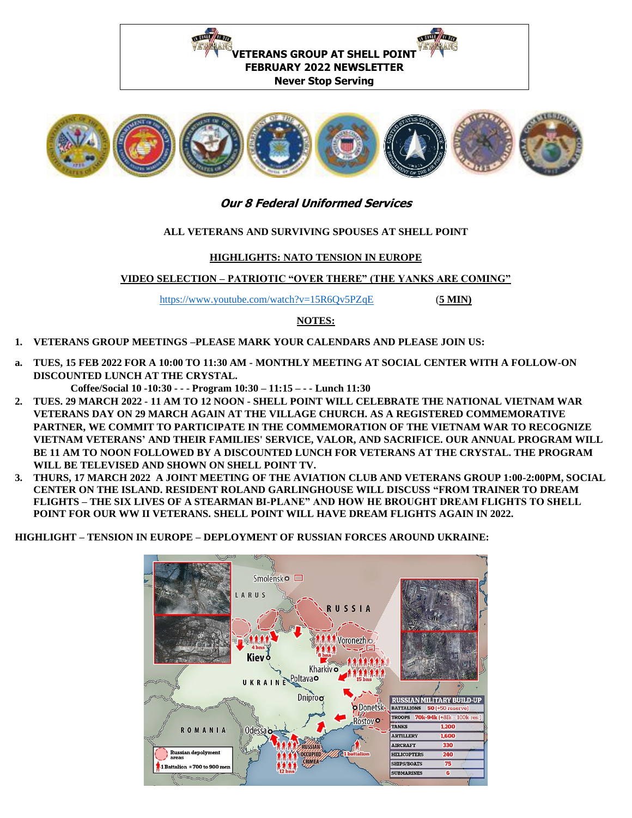



# **Our 8 Federal Uniformed Services**

### **ALL VETERANS AND SURVIVING SPOUSES AT SHELL POINT**

### **HIGHLIGHTS: NATO TENSION IN EUROPE**

## **VIDEO SELECTION – PATRIOTIC "OVER THERE" (THE YANKS ARE COMING"**

<https://www.youtube.com/watch?v=15R6Qv5PZqE>(**5 MIN)** 

### **NOTES:**

- **1. VETERANS GROUP MEETINGS –PLEASE MARK YOUR CALENDARS AND PLEASE JOIN US:**
- **a. TUES, 15 FEB 2022 FOR A 10:00 TO 11:30 AM - MONTHLY MEETING AT SOCIAL CENTER WITH A FOLLOW-ON DISCOUNTED LUNCH AT THE CRYSTAL.**

**Coffee/Social 10 -10:30 - - - Program 10:30 – 11:15 – - - Lunch 11:30**

- **2. TUES. 29 MARCH 2022 - 11 AM TO 12 NOON - SHELL POINT WILL CELEBRATE THE NATIONAL VIETNAM WAR VETERANS DAY ON 29 MARCH AGAIN AT THE VILLAGE CHURCH. AS A REGISTERED COMMEMORATIVE PARTNER, WE COMMIT TO PARTICIPATE IN THE COMMEMORATION OF THE VIETNAM WAR TO RECOGNIZE VIETNAM VETERANS' AND THEIR FAMILIES' SERVICE, VALOR, AND SACRIFICE. OUR ANNUAL PROGRAM WILL BE 11 AM TO NOON FOLLOWED BY A DISCOUNTED LUNCH FOR VETERANS AT THE CRYSTAL. THE PROGRAM WILL BE TELEVISED AND SHOWN ON SHELL POINT TV.**
- **3. THURS, 17 MARCH 2022 A JOINT MEETING OF THE AVIATION CLUB AND VETERANS GROUP 1:00-2:00PM, SOCIAL CENTER ON THE ISLAND. RESIDENT ROLAND GARLINGHOUSE WILL DISCUSS "FROM TRAINER TO DREAM FLIGHTS – THE SIX LIVES OF A STEARMAN BI-PLANE" AND HOW HE BROUGHT DREAM FLIGHTS TO SHELL POINT FOR OUR WW II VETERANS. SHELL POINT WILL HAVE DREAM FLIGHTS AGAIN IN 2022.**

**HIGHLIGHT – TENSION IN EUROPE – DEPLOYMENT OF RUSSIAN FORCES AROUND UKRAINE:**